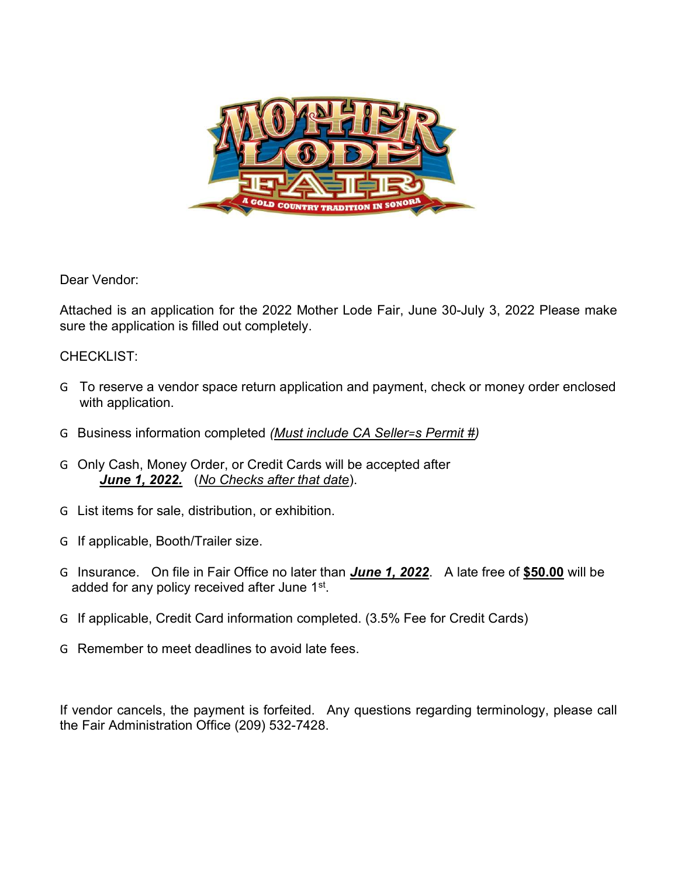

Dear Vendor:

Attached is an application for the 2022 Mother Lode Fair, June 30-July 3, 2022 Please make sure the application is filled out completely.

#### CHECKLIST:

- G To reserve a vendor space return application and payment, check or money order enclosed with application.
- G Business information completed (Must include CA Seller=s Permit #)
- G Only Cash, Money Order, or Credit Cards will be accepted after June 1, 2022. (No Checks after that date).
- G List items for sale, distribution, or exhibition.
- G If applicable, Booth/Trailer size.
- G Insurance. On file in Fair Office no later than June 1, 2022. A late free of \$50.00 will be added for any policy received after June 1st.
- G If applicable, Credit Card information completed. (3.5% Fee for Credit Cards)
- G Remember to meet deadlines to avoid late fees.

If vendor cancels, the payment is forfeited. Any questions regarding terminology, please call the Fair Administration Office (209) 532-7428.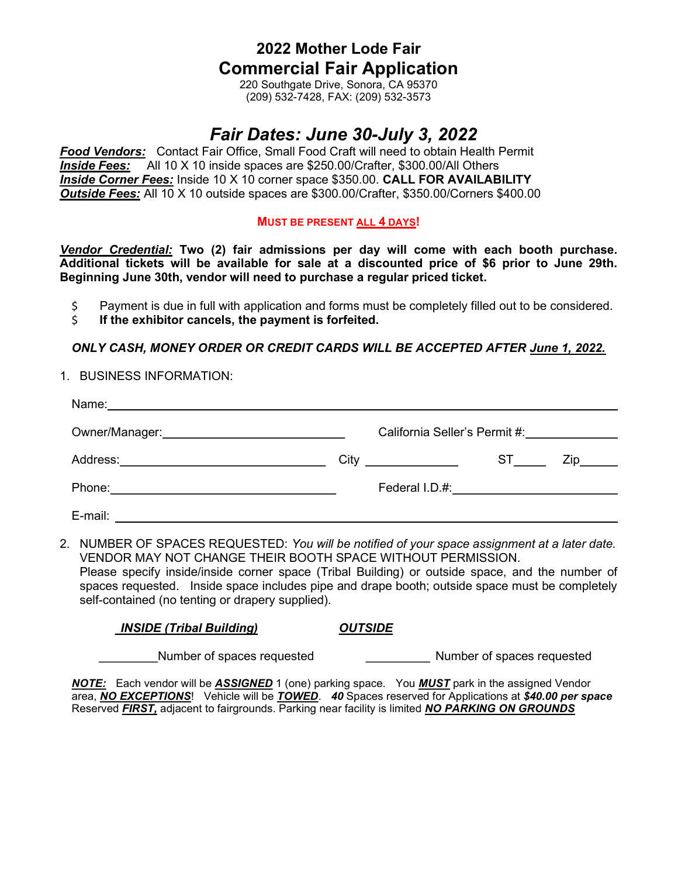### 2022 Mother Lode Fair Commercial Fair Application

220 Southgate Drive, Sonora, CA 95370 (209) 532-7428, FAX: (209) 532-3573

## Fair Dates: June 30-July 3, 2022

Food Vendors: Contact Fair Office, Small Food Craft will need to obtain Health Permit **Inside Fees:** All 10 X 10 inside spaces are \$250.00/Crafter, \$300.00/All Others Inside Corner Fees: Inside 10 X 10 corner space \$350.00. CALL FOR AVAILABILITY Outside Fees: All 10 X 10 outside spaces are \$300.00/Crafter, \$350.00/Corners \$400.00

#### MUST BE PRESENT ALL 4 DAYS!

Vendor Credential: Two (2) fair admissions per day will come with each booth purchase. Additional tickets will be available for sale at a discounted price of \$6 prior to June 29th. Beginning June 30th, vendor will need to purchase a regular priced ticket.

- \$ Payment is due in full with application and forms must be completely filled out to be considered.
- \$ If the exhibitor cancels, the payment is forfeited.

#### ONLY CASH, MONEY ORDER OR CREDIT CARDS WILL BE ACCEPTED AFTER June 1, 2022.

#### 1. BUSINESS INFORMATION:

| Name:<br><u> 1980 - Johann Stein, marwolaethau a bhann an t-Amhainn an t-Amhainn an t-Amhainn an t-Amhainn an t-Amhainn an</u> |                                                                                                                                                                                                                                |                                                                                                                                                                                                                                |                   |
|--------------------------------------------------------------------------------------------------------------------------------|--------------------------------------------------------------------------------------------------------------------------------------------------------------------------------------------------------------------------------|--------------------------------------------------------------------------------------------------------------------------------------------------------------------------------------------------------------------------------|-------------------|
| Owner/Manager: National Communication of the Communication of the Communication of the Communication of the Co                 | California Seller's Permit #: \\cdot \\sqrt{\sqrt{\sqrt{\sqrt{\sqrt{\sqrt{\sqrt{\sqrt{\sqrt{\sqrt{\sqrt{\sqrt{\sqrt{\sqrt{\sqrt{\sqrt{\sqrt{\sqrt{\sqrt{\sqrt{\sqrt{\sqrt{\sqrt{\sqrt{\sqrt{\sqrt{\sqrt{\sqrt{\sqrt{\sqrt{\sqr |                                                                                                                                                                                                                                |                   |
|                                                                                                                                |                                                                                                                                                                                                                                | ST and the set of the set of the set of the set of the set of the set of the set of the set of the set of the set of the set of the set of the set of the set of the set of the set of the set of the set of the set of the se | Zip <sub>ra</sub> |
|                                                                                                                                | Federal I.D.#: _________________________________                                                                                                                                                                               |                                                                                                                                                                                                                                |                   |
| E-mail:                                                                                                                        |                                                                                                                                                                                                                                |                                                                                                                                                                                                                                |                   |

2. NUMBER OF SPACES REQUESTED: You will be notified of your space assignment at a later date. VENDOR MAY NOT CHANGE THEIR BOOTH SPACE WITHOUT PERMISSION. Please specify inside/inside corner space (Tribal Building) or outside space, and the number of spaces requested. Inside space includes pipe and drape booth; outside space must be completely

| <b>INSIDE (Tribal Building)</b> | <b>OUTSIDE</b> |
|---------------------------------|----------------|

Number of spaces requested Number of spaces requested

self-contained (no tenting or drapery supplied).

NOTE: Each vendor will be ASSIGNED 1 (one) parking space. You MUST park in the assigned Vendor area, NO EXCEPTIONS! Vehicle will be TOWED. 40 Spaces reserved for Applications at \$40.00 per space Reserved FIRST, adjacent to fairgrounds. Parking near facility is limited NO PARKING ON GROUNDS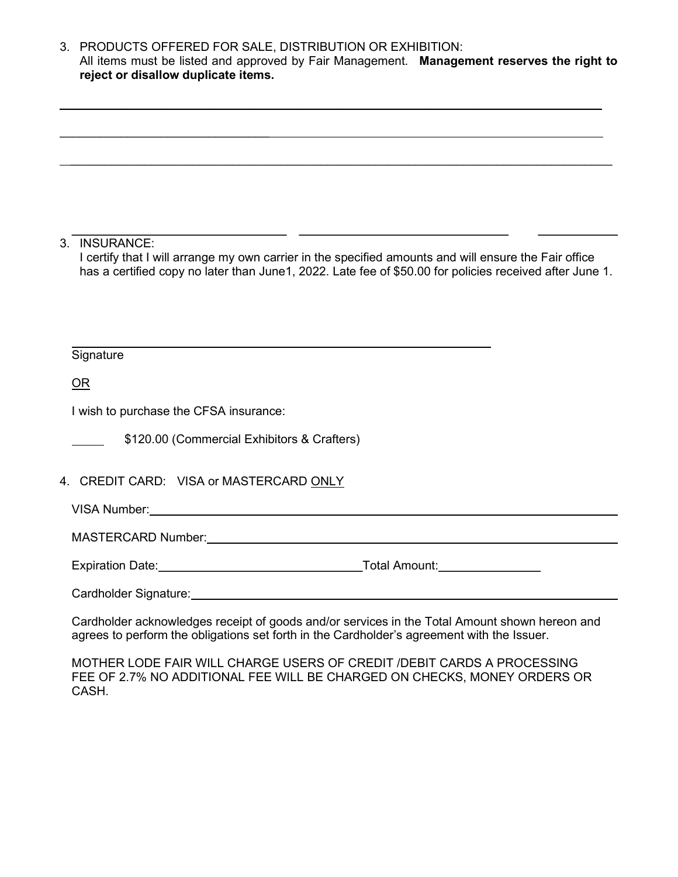3. PRODUCTS OFFERED FOR SALE, DISTRIBUTION OR EXHIBITION: All items must be listed and approved by Fair Management. Management reserves the right to reject or disallow duplicate items.

 $\mathcal{L}_\mathcal{L} = \mathcal{L}_\mathcal{L} = \mathcal{L}_\mathcal{L} = \mathcal{L}_\mathcal{L} = \mathcal{L}_\mathcal{L} = \mathcal{L}_\mathcal{L} = \mathcal{L}_\mathcal{L} = \mathcal{L}_\mathcal{L} = \mathcal{L}_\mathcal{L} = \mathcal{L}_\mathcal{L} = \mathcal{L}_\mathcal{L} = \mathcal{L}_\mathcal{L} = \mathcal{L}_\mathcal{L} = \mathcal{L}_\mathcal{L} = \mathcal{L}_\mathcal{L} = \mathcal{L}_\mathcal{L} = \mathcal{L}_\mathcal{L}$ 

\_\_\_\_\_\_\_\_\_\_\_\_\_\_\_\_\_\_\_\_\_\_\_\_\_\_\_\_\_\_\_\_\_\_\_\_\_\_\_\_\_\_\_\_\_\_\_\_\_\_\_\_\_\_\_\_\_\_\_\_\_\_\_\_\_\_\_\_\_\_\_\_\_\_\_\_\_\_\_\_

3. INSURANCE:

 $\overline{a}$ 

 I certify that I will arrange my own carrier in the specified amounts and will ensure the Fair office has a certified copy no later than June1, 2022. Late fee of \$50.00 for policies received after June 1.

#### **Signature**

OR

 $\overline{a}$ 

I wish to purchase the CFSA insurance:

 $\mathcal{L}=\{1,2,3,4,5\}$ 

\$120.00 (Commercial Exhibitors & Crafters)

4. CREDIT CARD: VISA or MASTERCARD ONLY

VISA Number:

MASTERCARD Number:

Expiration Date: Notice and Amount: Network and Amount: Network and Amount: Network and Amount: Network and Amount:

Cardholder Signature:

Cardholder acknowledges receipt of goods and/or services in the Total Amount shown hereon and agrees to perform the obligations set forth in the Cardholder's agreement with the Issuer.

MOTHER LODE FAIR WILL CHARGE USERS OF CREDIT /DEBIT CARDS A PROCESSING FEE OF 2.7% NO ADDITIONAL FEE WILL BE CHARGED ON CHECKS, MONEY ORDERS OR CASH.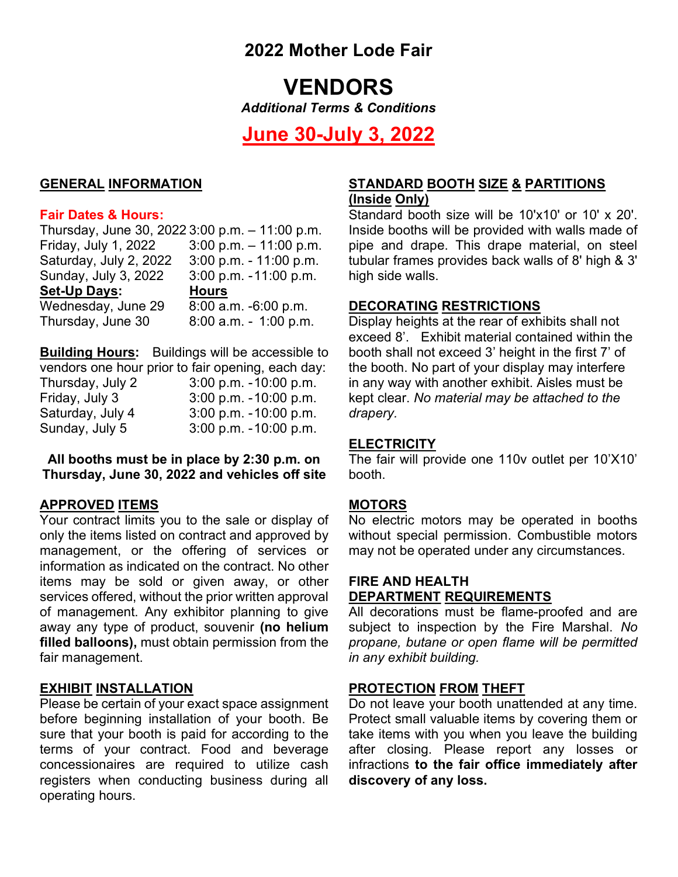## 2022 Mother Lode Fair

# VENDORS

Additional Terms & Conditions

## June 30-July 3, 2022

#### GENERAL INFORMATION

#### Fair Dates & Hours:

Thursday, June 30, 2022 3:00 p.m. – 11:00 p.m. Friday, July 1, 2022 3:00 p.m. – 11:00 p.m. Saturday, July 2, 2022 3:00 p.m. - 11:00 p.m. Sunday, July 3, 2022 3:00 p.m. - 11:00 p.m. Set-Up Days: Hours Wednesday, June 29 8:00 a.m. -6:00 p.m. Thursday, June 30 8:00 a.m. - 1:00 p.m.

Building Hours: Buildings will be accessible to vendors one hour prior to fair opening, each day:

|                  | Toniaoro ono noar prior to iam oporinigi, oaon aay |
|------------------|----------------------------------------------------|
| Thursday, July 2 | $3:00$ p.m. $-10:00$ p.m.                          |
| Friday, July 3   | $3:00$ p.m. $-10:00$ p.m.                          |
| Saturday, July 4 | $3:00$ p.m. $-10:00$ p.m.                          |
| Sunday, July 5   | $3:00$ p.m. $-10:00$ p.m.                          |

All booths must be in place by 2:30 p.m. on Thursday, June 30, 2022 and vehicles off site

#### APPROVED ITEMS

Your contract limits you to the sale or display of only the items listed on contract and approved by management, or the offering of services or information as indicated on the contract. No other items may be sold or given away, or other services offered, without the prior written approval of management. Any exhibitor planning to give away any type of product, souvenir (no helium filled balloons), must obtain permission from the fair management.

#### EXHIBIT INSTALLATION

Please be certain of your exact space assignment before beginning installation of your booth. Be sure that your booth is paid for according to the terms of your contract. Food and beverage concessionaires are required to utilize cash registers when conducting business during all operating hours.

#### STANDARD BOOTH SIZE & PARTITIONS (Inside Only)

Standard booth size will be 10'x10' or 10' x 20'. Inside booths will be provided with walls made of pipe and drape. This drape material, on steel tubular frames provides back walls of 8' high & 3' high side walls.

#### DECORATING RESTRICTIONS

Display heights at the rear of exhibits shall not exceed 8'. Exhibit material contained within the booth shall not exceed 3' height in the first 7' of the booth. No part of your display may interfere in any way with another exhibit. Aisles must be kept clear. No material may be attached to the drapery.

#### **ELECTRICITY**

The fair will provide one 110v outlet per 10'X10' booth.

#### **MOTORS**

No electric motors may be operated in booths without special permission. Combustible motors may not be operated under any circumstances.

#### FIRE AND HEALTH DEPARTMENT REQUIREMENTS

All decorations must be flame-proofed and are subject to inspection by the Fire Marshal. No propane, butane or open flame will be permitted in any exhibit building.

#### PROTECTION FROM THEFT

Do not leave your booth unattended at any time. Protect small valuable items by covering them or take items with you when you leave the building after closing. Please report any losses or infractions to the fair office immediately after discovery of any loss.